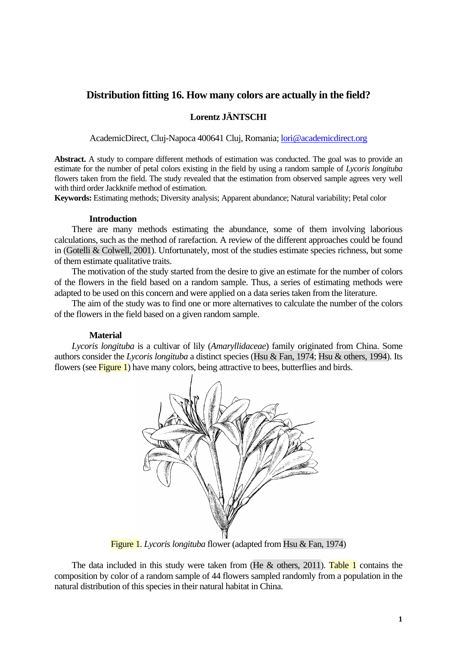# **Distribution fitting 16. How many colors are actually in the field?**

# **Lorentz JÄNTSCHI**

AcademicDirect, Cluj-Napoca 400641 Cluj, Romania; [lori@academicdirect.org](mailto:lori@academicdirect.org)

**Abstract.** A study to compare different methods of estimation was conducted. The goal was to provide an estimate for the number of petal colors existing in the field by using a random sample of *Lycoris longituba* flowers taken from the field. The study revealed that the estimation from observed sample agrees very well with third order Jackknife method of estimation.

**Keywords:** Estimating methods; Diversity analysis; Apparent abundance; Natural variability; Petal color

#### **Introduction**

 There are many methods estimating the abundance, some of them involving laborious calculations, such as the method of rarefaction. A review of the different approaches could be found in (Gotelli & Colwell, 2001). Unfortunately, most of the studies estimate species richness, but some of them estimate qualitative traits.

The motivation of the study started from the desire to give an estimate for the number of colors of the flowers in the field based on a random sample. Thus, a series of estimating methods were adapted to be used on this concern and were applied on a data series taken from the literature.

The aim of the study was to find one or more alternatives to calculate the number of the colors of the flowers in the field based on a given random sample.

## **Material**

*Lycoris longituba* is a cultivar of lily (*Amaryllidaceae*) family originated from China. Some authors consider the *Lycoris longituba* a distinct species (Hsu & Fan, 1974; Hsu & others, 1994). Its flowers (see Figure 1) have many colors, being attractive to bees, butterflies and birds.



Figure 1. *Lycoris longituba* flower (adapted from Hsu & Fan, 1974)

The data included in this study were taken from (He  $\&$  others, 2011). Table 1 contains the composition by color of a random sample of 44 flowers sampled randomly from a population in the natural distribution of this species in their natural habitat in China.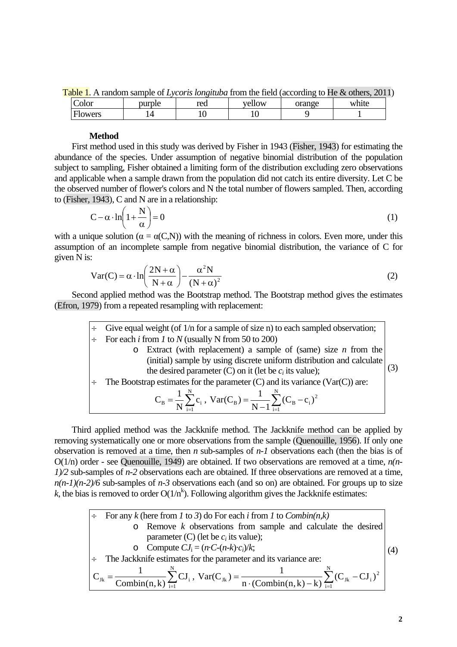Table 1. A random sample of *Lycoris longituba* from the field (according to He & others, 2011)

| olor                | purple | red | ellow<br>$\mathbf{V}$ | orange | white |
|---------------------|--------|-----|-----------------------|--------|-------|
| owers<br><b>HIG</b> |        | 1 v | ╰<br>. .              |        |       |

### **Method**

 First method used in this study was derived by Fisher in 1943 (Fisher, 1943) for estimating the abundance of the species. Under assumption of negative binomial distribution of the population subject to sampling, Fisher obtained a limiting form of the distribution excluding zero observations and applicable when a sample drawn from the population did not catch its entire diversity. Let C be the observed number of flower's colors and N the total number of flowers sampled. Then, according to (Fisher, 1943), C and N are in a relationship:

$$
C - \alpha \cdot \ln\left(1 + \frac{N}{\alpha}\right) = 0\tag{1}
$$

with a unique solution ( $\alpha = \alpha(C, N)$ ) with the meaning of richness in colors. Even more, under this assumption of an incomplete sample from negative binomial distribution, the variance of C for given N is:

$$
Var(C) = \alpha \cdot ln\left(\frac{2N + \alpha}{N + \alpha}\right) - \frac{\alpha^2 N}{(N + \alpha)^2}
$$
 (2)

 Second applied method was the Bootstrap method. The Bootstrap method gives the estimates (Efron, 1979) from a repeated resampling with replacement:

| Give equal weight (of $1/n$ for a sample of size n) to each sampled observation;                 |  |  |
|--------------------------------------------------------------------------------------------------|--|--|
| For each <i>i</i> from <i>l</i> to <i>N</i> (usually N from 50 to 200)                           |  |  |
| $\circ$ Extract (with replacement) a sample of (same) size <i>n</i> from the                     |  |  |
| (initial) sample by using discrete uniform distribution and calculate                            |  |  |
| the desired parameter (C) on it (let be $c_i$ its value);                                        |  |  |
| The Bootstrap estimates for the parameter $(C)$ and its variance $(Var(C))$ are:                 |  |  |
| $C_B = \frac{1}{N} \sum_{i=1}^{N} c_i$ , $Var(C_B) = \frac{1}{N-1} \sum_{i=1}^{N} (C_B - c_i)^2$ |  |  |

 Third applied method was the Jackknife method. The Jackknife method can be applied by removing systematically one or more observations from the sample (Quenouille, 1956). If only one observation is removed at a time, then *n* sub-samples of *n-1* observations each (then the bias is of O(1/n) order - see Quenouille, 1949) are obtained. If two observations are removed at a time, *n(n-1)/2* sub-samples of *n-2* observations each are obtained. If three observations are removed at a time, *n(n-1)(n-2)/6* sub-samples of *n-3* observations each (and so on) are obtained. For groups up to size  $k$ , the bias is removed to order  $O(1/n<sup>k</sup>)$ . Following algorithm gives the Jackknife estimates:

\n- → For any *k* (here from *I* to *3*) do For each *i* from *I* to *Combin(n,k)*
\n- → Remove *k* observations from sample and calculate the desired parameter (C) (let be *c<sub>i</sub>* its value);
\n- → Compute 
$$
CI_i = (n \cdot C - (n-k) \cdot c_i)/k
$$
;
\n- → The Jackknife estimates for the parameter and its variance are:
\n- $C_{J_k} = \frac{1}{\text{Combin}(n,k)} \sum_{i=1}^{N} \text{CI}_i$ ,  $\text{Var}(C_{J_k}) = \frac{1}{n \cdot (\text{Combin}(n,k) - k)} \sum_{i=1}^{N} (C_{J_k} - C_{J_i})^2$
\n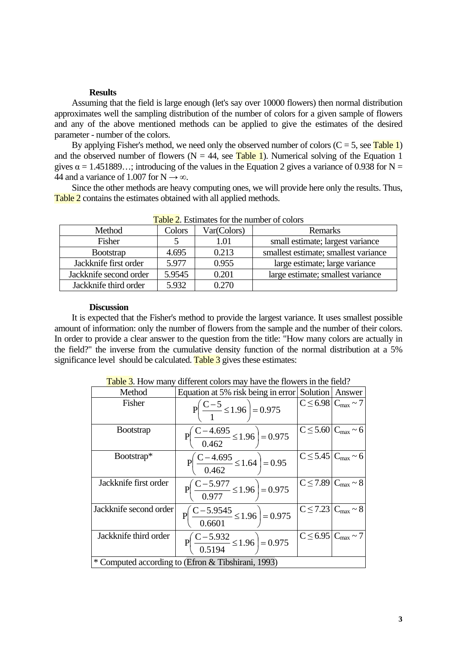#### **Results**

Assuming that the field is large enough (let's say over 10000 flowers) then normal distribution approximates well the sampling distribution of the number of colors for a given sample of flowers and any of the above mentioned methods can be applied to give the estimates of the desired parameter - number of the colors.

By applying Fisher's method, we need only the observed number of colors  $(C = 5$ , see Table 1) and the observed number of flowers ( $N = 44$ , see Table 1). Numerical solving of the Equation 1 gives  $\alpha = 1.451889...$ ; introducing of the values in the Equation 2 gives a variance of 0.938 for N = 44 and a variance of 1.007 for N  $\rightarrow \infty$ .

Since the other methods are heavy computing ones, we will provide here only the results. Thus, Table 2 contains the estimates obtained with all applied methods.

| $10010$ $\mu$ , $100111000$ $101$ $0101100$ |        |             |                                      |  |  |  |  |  |
|---------------------------------------------|--------|-------------|--------------------------------------|--|--|--|--|--|
| Method                                      | Colors | Var(Colors) | Remarks                              |  |  |  |  |  |
| Fisher                                      |        | 1.01        | small estimate; largest variance     |  |  |  |  |  |
| <b>Bootstrap</b>                            | 4.695  | 0.213       | smallest estimate; smallest variance |  |  |  |  |  |
| Jackknife first order                       | 5.977  | 0.955       | large estimate; large variance       |  |  |  |  |  |
| Jackknife second order                      | 5.9545 | 0.201       | large estimate; smallest variance    |  |  |  |  |  |
| Jackknife third order                       | 5.932  | 0.270       |                                      |  |  |  |  |  |

Table 2. Estimates for the number of colors

#### **Discussion**

 It is expected that the Fisher's method to provide the largest variance. It uses smallest possible amount of information: only the number of flowers from the sample and the number of their colors. In order to provide a clear answer to the question from the title: "How many colors are actually in the field?" the inverse from the cumulative density function of the normal distribution at a 5% significance level should be calculated. Table  $\overline{3}$  gives these estimates:

| Method                                             | Equation at 5% risk being in error                      |  | Solution Answer                       |  |  |  |
|----------------------------------------------------|---------------------------------------------------------|--|---------------------------------------|--|--|--|
| Fisher                                             | $P\left(\frac{C-5}{1} \le 1.96\right) = 0.975$          |  | $C \leq 6.98$ $C_{\text{max}} \sim 7$ |  |  |  |
| <b>B</b> ootstrap                                  | $P\left(\frac{C-4.695}{0.462} \le 1.96\right) = 0.975$  |  | $C \leq 5.60$ $C_{\text{max}} \sim 6$ |  |  |  |
| Bootstrap*                                         | $P\left(\frac{C-4.695}{0.462} \le 1.64\right) = 0.95$   |  | $C \leq 5.45$ $C_{\text{max}} \sim 6$ |  |  |  |
| Jackknife first order                              | $P\left(\frac{C-5.977}{0.977}\leq 1.96\right)=0.975$    |  | $C \le 7.89$ $C_{\text{max}} \sim 8$  |  |  |  |
| Jackknife second order                             | $P\left(\frac{C-5.9545}{0.6601}\leq 1.96\right)=0.975$  |  | $C \le 7.23$ $C_{\text{max}} \sim 8$  |  |  |  |
| Jackknife third order                              | $P\left(\frac{C-5.932}{0.5194} \le 1.96\right) = 0.975$ |  | $C \le 6.95$ $C_{\text{max}} \sim 7$  |  |  |  |
| * Computed according to (Efron & Tibshirani, 1993) |                                                         |  |                                       |  |  |  |

Table 3. How many different colors may have the flowers in the field?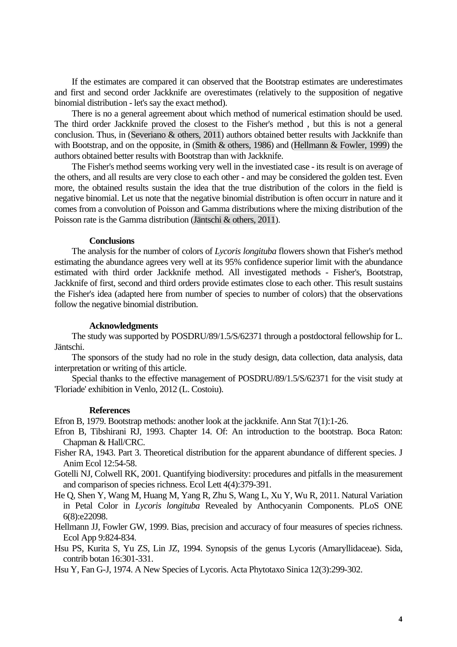If the estimates are compared it can observed that the Bootstrap estimates are underestimates and first and second order Jackknife are overestimates (relatively to the supposition of negative binomial distribution - let's say the exact method).

 There is no a general agreement about which method of numerical estimation should be used. The third order Jackknife proved the closest to the Fisher's method , but this is not a general conclusion. Thus, in (Severiano & others, 2011) authors obtained better results with Jackknife than with Bootstrap, and on the opposite, in (Smith & others, 1986) and (Hellmann & Fowler, 1999) the authors obtained better results with Bootstrap than with Jackknife.

 The Fisher's method seems working very well in the investiated case - its result is on average of the others, and all results are very close to each other - and may be considered the golden test. Even more, the obtained results sustain the idea that the true distribution of the colors in the field is negative binomial. Let us note that the negative binomial distribution is often occurr in nature and it comes from a convolution of Poisson and Gamma distributions where the mixing distribution of the Poisson rate is the Gamma distribution (Jäntschi & others, 2011).

#### **Conclusions**

 The analysis for the number of colors of *Lycoris longituba* flowers shown that Fisher's method estimating the abundance agrees very well at its 95% confidence superior limit with the abundance estimated with third order Jackknife method. All investigated methods - Fisher's, Bootstrap, Jackknife of first, second and third orders provide estimates close to each other. This result sustains the Fisher's idea (adapted here from number of species to number of colors) that the observations follow the negative binomial distribution.

### **Acknowledgments**

 The study was supported by POSDRU/89/1.5/S/62371 through a postdoctoral fellowship for L. Jäntschi.

 The sponsors of the study had no role in the study design, data collection, data analysis, data interpretation or writing of this article.

Special thanks to the effective management of POSDRU/89/1.5/S/62371 for the visit study at 'Floriade' exhibition in Venlo, 2012 (L. Costoiu).

#### **References**

Efron B, 1979. Bootstrap methods: another look at the jackknife. Ann Stat 7(1):1-26.

- Efron B, Tibshirani RJ, 1993. Chapter 14. Of: An introduction to the bootstrap. Boca Raton: Chapman & Hall/CRC.
- Fisher RA, 1943. Part 3. Theoretical distribution for the apparent abundance of different species. J Anim Ecol 12:54-58.
- Gotelli NJ, Colwell RK, 2001. Quantifying biodiversity: procedures and pitfalls in the measurement and comparison of species richness. Ecol Lett 4(4):379-391.
- He Q, Shen Y, Wang M, Huang M, Yang R, Zhu S, Wang L, Xu Y, Wu R, 2011. Natural Variation in Petal Color in *Lycoris longituba* Revealed by Anthocyanin Components. PLoS ONE 6(8):e22098.
- Hellmann JJ, Fowler GW, 1999. Bias, precision and accuracy of four measures of species richness. Ecol App 9:824-834.
- Hsu PS, Kurita S, Yu ZS, Lin JZ, 1994. Synopsis of the genus Lycoris (Amaryllidaceae). Sida, contrib botan 16:301-331.
- Hsu Y, Fan G-J, 1974. A New Species of Lycoris. Acta Phytotaxo Sinica 12(3):299-302.